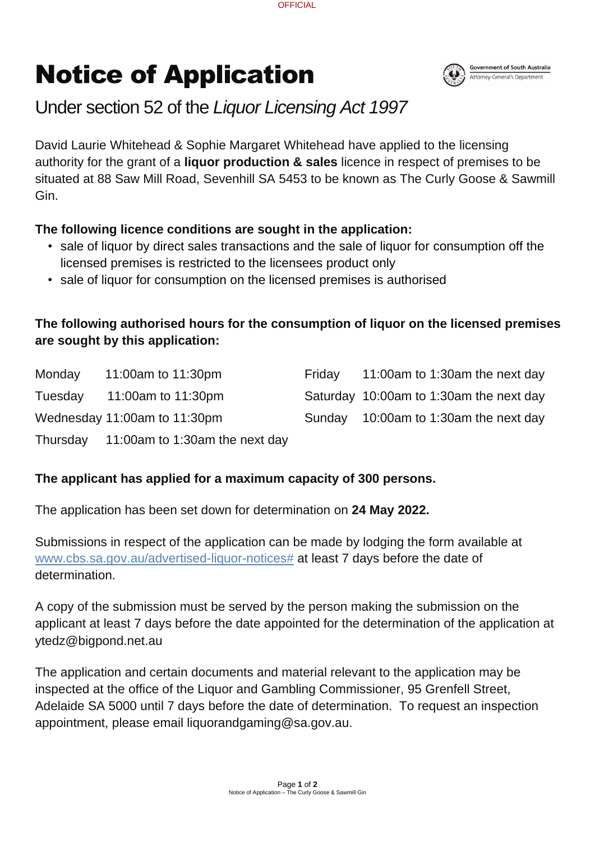Page **1** of **2** Notice of Application – The Curly Goose & Sawmill Gin

# Notice of Application



# Under section 52 of the *Liquor Licensing Act 1997*

David Laurie Whitehead & Sophie Margaret Whitehead have applied to the licensing authority for the grant of a **liquor production & sales** licence in respect of premises to be situated at 88 Saw Mill Road, Sevenhill SA 5453 to be known as The Curly Goose & Sawmill Gin.

#### **The following licence conditions are sought in the application:**

- sale of liquor by direct sales transactions and the sale of liquor for consumption off the licensed premises is restricted to the licensees product only
- sale of liquor for consumption on the licensed premises is authorised

### **The following authorised hours for the consumption of liquor on the licensed premises are sought by this application:**

| Monday  | 11:00am to 11:30pm                      | Friday | 11:00am to 1:30am the next day          |
|---------|-----------------------------------------|--------|-----------------------------------------|
| Tuesday | 11:00am to 11:30pm                      |        | Saturday 10:00am to 1:30am the next day |
|         | Wednesday 11:00am to 11:30pm            |        | Sunday 10:00am to 1:30am the next day   |
|         | Thursday 11:00am to 1:30am the next day |        |                                         |

# **The applicant has applied for a maximum capacity of 300 persons.**

The application has been set down for determination on **24 May 2022.**

Submissions in respect of the application can be made by lodging the form available at [www.cbs.sa.gov.au/advertised-liquor-notices#](http://www.cbs.sa.gov.au/advertised-liquor-notices) at least 7 days before the date of determination.

A copy of the submission must be served by the person making the submission on the applicant at least 7 days before the date appointed for the determination of the application at

#### ytedz@bigpond.net.au

The application and certain documents and material relevant to the application may be inspected at the office of the Liquor and Gambling Commissioner, 95 Grenfell Street, Adelaide SA 5000 until 7 days before the date of determination. To request an inspection appointment, please email liquorandgaming@sa.gov.au.